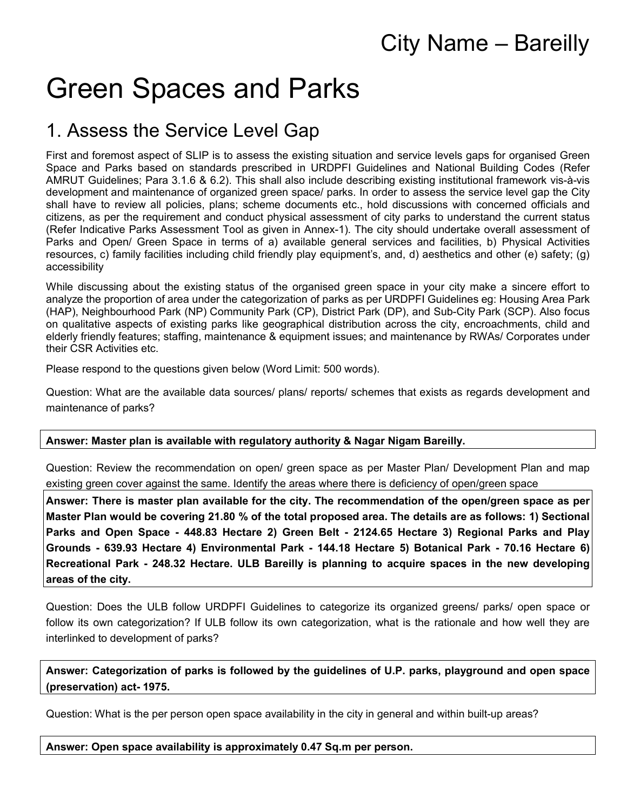# City Name – Bareilly

# Green Spaces and Parks

# 1. Assess the Service Level Gap

First and foremost aspect of SLIP is to assess the existing situation and service levels gaps for organised Green Space and Parks based on standards prescribed in URDPFI Guidelines and National Building Codes (Refer AMRUT Guidelines; Para 3.1.6 & 6.2). This shall also include describing existing institutional framework vis-à-vis development and maintenance of organized green space/ parks. In order to assess the service level gap the City shall have to review all policies, plans; scheme documents etc., hold discussions with concerned officials and citizens, as per the requirement and conduct physical assessment of city parks to understand the current status (Refer Indicative Parks Assessment Tool as given in Annex-1). The city should undertake overall assessment of Parks and Open/ Green Space in terms of a) available general services and facilities, b) Physical Activities resources, c) family facilities including child friendly play equipment's, and, d) aesthetics and other (e) safety; (g) accessibility

While discussing about the existing status of the organised green space in your city make a sincere effort to analyze the proportion of area under the categorization of parks as per URDPFI Guidelines eg: Housing Area Park (HAP), Neighbourhood Park (NP) Community Park (CP), District Park (DP), and Sub-City Park (SCP). Also focus on qualitative aspects of existing parks like geographical distribution across the city, encroachments, child and elderly friendly features; staffing, maintenance & equipment issues; and maintenance by RWAs/ Corporates under their CSR Activities etc.

Please respond to the questions given below (Word Limit: 500 words).

Question: What are the available data sources/ plans/ reports/ schemes that exists as regards development and maintenance of parks?

### **Answer: Master plan is available with regulatory authority & Nagar Nigam Bareilly.**

Question: Review the recommendation on open/ green space as per Master Plan/ Development Plan and map existing green cover against the same. Identify the areas where there is deficiency of open/green space

**Answer: There is master plan available for the city. The recommendation of the open/green space as per Master Plan would be covering 21.80 % of the total proposed area. The details are as follows: 1) Sectional Parks and Open Space - 448.83 Hectare 2) Green Belt - 2124.65 Hectare 3) Regional Parks and Play Grounds - 639.93 Hectare 4) Environmental Park - 144.18 Hectare 5) Botanical Park - 70.16 Hectare 6) Recreational Park - 248.32 Hectare. ULB Bareilly is planning to acquire spaces in the new developing areas of the city.**

Question: Does the ULB follow URDPFI Guidelines to categorize its organized greens/ parks/ open space or follow its own categorization? If ULB follow its own categorization, what is the rationale and how well they are interlinked to development of parks?

**Answer: Categorization of parks is followed by the guidelines of U.P. parks, playground and open space (preservation) act- 1975.**

Question: What is the per person open space availability in the city in general and within built-up areas?

**Answer: Open space availability is approximately 0.47 Sq.m per person.**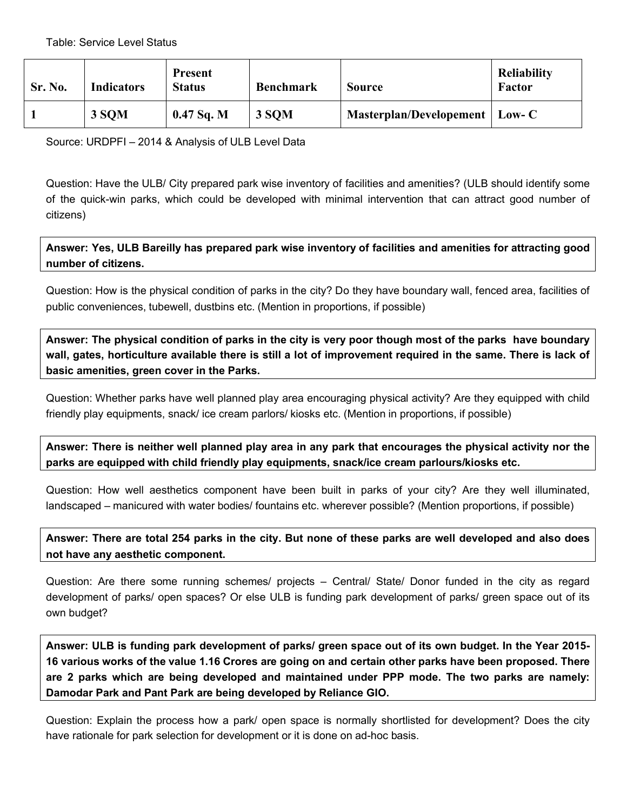| Sr. No. | <b>Indicators</b> | <b>Present</b><br><b>Status</b> | <b>Benchmark</b> | <b>Source</b>                    | <b>Reliability</b><br>Factor |
|---------|-------------------|---------------------------------|------------------|----------------------------------|------------------------------|
|         | 3 SQM             | $0.47$ Sq. M                    | 3 SOM            | Masterplan/Developement   Low- C |                              |

Source: URDPFI – 2014 & Analysis of ULB Level Data

Question: Have the ULB/ City prepared park wise inventory of facilities and amenities? (ULB should identify some of the quick-win parks, which could be developed with minimal intervention that can attract good number of citizens)

**Answer: Yes, ULB Bareilly has prepared park wise inventory of facilities and amenities for attracting good number of citizens.**

Question: How is the physical condition of parks in the city? Do they have boundary wall, fenced area, facilities of public conveniences, tubewell, dustbins etc. (Mention in proportions, if possible)

**Answer: The physical condition of parks in the city is very poor though most of the parks have boundary**  wall, gates, horticulture available there is still a lot of improvement required in the same. There is lack of **basic amenities, green cover in the Parks.**

Question: Whether parks have well planned play area encouraging physical activity? Are they equipped with child friendly play equipments, snack/ ice cream parlors/ kiosks etc. (Mention in proportions, if possible)

**Answer: There is neither well planned play area in any park that encourages the physical activity nor the parks are equipped with child friendly play equipments, snack/ice cream parlours/kiosks etc.**

Question: How well aesthetics component have been built in parks of your city? Are they well illuminated, landscaped – manicured with water bodies/ fountains etc. wherever possible? (Mention proportions, if possible)

**Answer: There are total 254 parks in the city. But none of these parks are well developed and also does not have any aesthetic component.**

Question: Are there some running schemes/ projects – Central/ State/ Donor funded in the city as regard development of parks/ open spaces? Or else ULB is funding park development of parks/ green space out of its own budget?

**Answer: ULB is funding park development of parks/ green space out of its own budget. In the Year 2015- 16 various works of the value 1.16 Crores are going on and certain other parks have been proposed. There are 2 parks which are being developed and maintained under PPP mode. The two parks are namely: Damodar Park and Pant Park are being developed by Reliance GIO.**

Question: Explain the process how a park/ open space is normally shortlisted for development? Does the city have rationale for park selection for development or it is done on ad-hoc basis.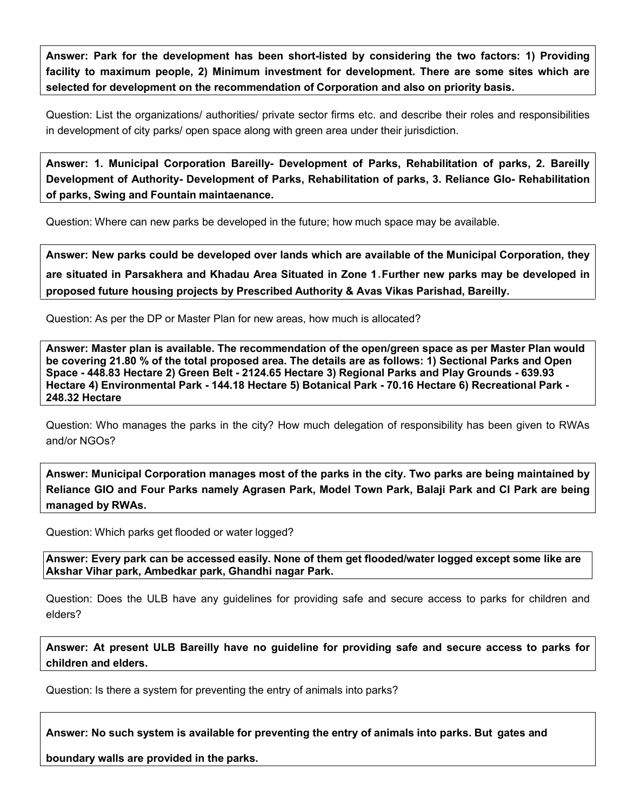**Answer: Park for the development has been short-listed by considering the two factors: 1) Providing facility to maximum people, 2) Minimum investment for development. There are some sites which are selected for development on the recommendation of Corporation and also on priority basis.**

Question: List the organizations/ authorities/ private sector firms etc. and describe their roles and responsibilities in development of city parks/ open space along with green area under their jurisdiction.

**Answer: 1. Municipal Corporation Bareilly- Development of Parks, Rehabilitation of parks, 2. Bareilly Development of Authority- Development of Parks, Rehabilitation of parks, 3. Reliance GIo- Rehabilitation of parks, Swing and Fountain maintaenance.**

Question: Where can new parks be developed in the future; how much space may be available.

**Answer: New parks could be developed over lands which are available of the Municipal Corporation, they are situated in Parsakhera and Khadau Area Situated in Zone 1**.**Further new parks may be developed in proposed future housing projects by Prescribed Authority & Avas Vikas Parishad, Bareilly.**

Question: As per the DP or Master Plan for new areas, how much is allocated?

**Answer: Master plan is available. The recommendation of the open/green space as per Master Plan would be covering 21.80 % of the total proposed area. The details are as follows: 1) Sectional Parks and Open Space - 448.83 Hectare 2) Green Belt - 2124.65 Hectare 3) Regional Parks and Play Grounds - 639.93 Hectare 4) Environmental Park - 144.18 Hectare 5) Botanical Park - 70.16 Hectare 6) Recreational Park - 248.32 Hectare**

Question: Who manages the parks in the city? How much delegation of responsibility has been given to RWAs and/or NGOs?

**Answer: Municipal Corporation manages most of the parks in the city. Two parks are being maintained by Reliance GIO and Four Parks namely Agrasen Park, Model Town Park, Balaji Park and CI Park are being managed by RWAs.**

Question: Which parks get flooded or water logged?

**Answer: Every park can be accessed easily. None of them get flooded/water logged except some like are Akshar Vihar park, Ambedkar park, Ghandhi nagar Park.**

Question: Does the ULB have any guidelines for providing safe and secure access to parks for children and elders?

**Answer: At present ULB Bareilly have no guideline for providing safe and secure access to parks for children and elders.**

Question: Is there a system for preventing the entry of animals into parks?

**Answer: No such system is available for preventing the entry of animals into parks. But gates and** 

**boundary walls are provided in the parks.**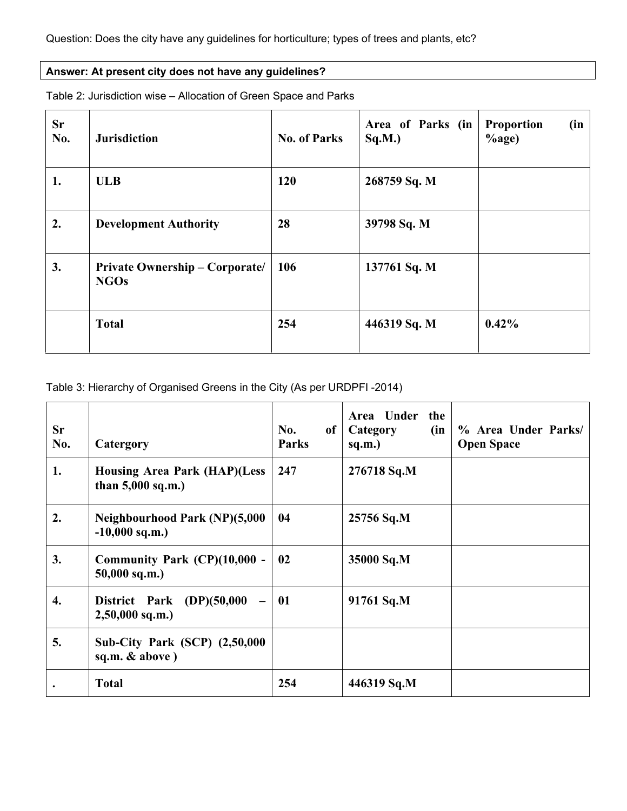### **Answer: At present city does not have any guidelines?**

| <b>Sr</b><br>No. | <b>Jurisdiction</b>                                  | <b>No. of Parks</b> | Area of Parks (in<br>Sq.M.) | <b>Proportion</b><br>(in<br>$%$ age) |
|------------------|------------------------------------------------------|---------------------|-----------------------------|--------------------------------------|
| 1.               | <b>ULB</b>                                           | 120                 | 268759 Sq. M                |                                      |
| 2.               | <b>Development Authority</b>                         | 28                  | 39798 Sq. M                 |                                      |
| 3.               | <b>Private Ownership – Corporate/</b><br><b>NGOs</b> | 106                 | 137761 Sq. M                |                                      |
|                  | <b>Total</b>                                         | 254                 | 446319 Sq. M                | 0.42%                                |

Table 2: Jurisdiction wise – Allocation of Green Space and Parks

### Table 3: Hierarchy of Organised Greens in the City (As per URDPFI -2014)

| <b>Sr</b><br>No. | Catergory                                                  | No.<br>of<br><b>Parks</b> | Area Under<br>the<br>(in<br>Category<br>sq.m.) | % Area Under Parks/<br><b>Open Space</b> |
|------------------|------------------------------------------------------------|---------------------------|------------------------------------------------|------------------------------------------|
| 1.               | <b>Housing Area Park (HAP)(Less</b><br>than $5,000$ sq.m.) | 247                       | 276718 Sq.M                                    |                                          |
| 2.               | <b>Neighbourhood Park (NP)(5,000</b><br>$-10,000$ sq.m.)   | 04                        | 25756 Sq.M                                     |                                          |
| 3.               | Community Park (CP)(10,000 -<br>$50,000$ sq.m.)            | 02                        | 35000 Sq.M                                     |                                          |
| 4.               | District Park (DP)(50,000<br>$2,50,000$ sq.m.)             | 01                        | 91761 Sq.M                                     |                                          |
| 5.               | <b>Sub-City Park (SCP) (2,50,000</b><br>sq.m. $& above$ )  |                           |                                                |                                          |
|                  | <b>Total</b>                                               | 254                       | 446319 Sq.M                                    |                                          |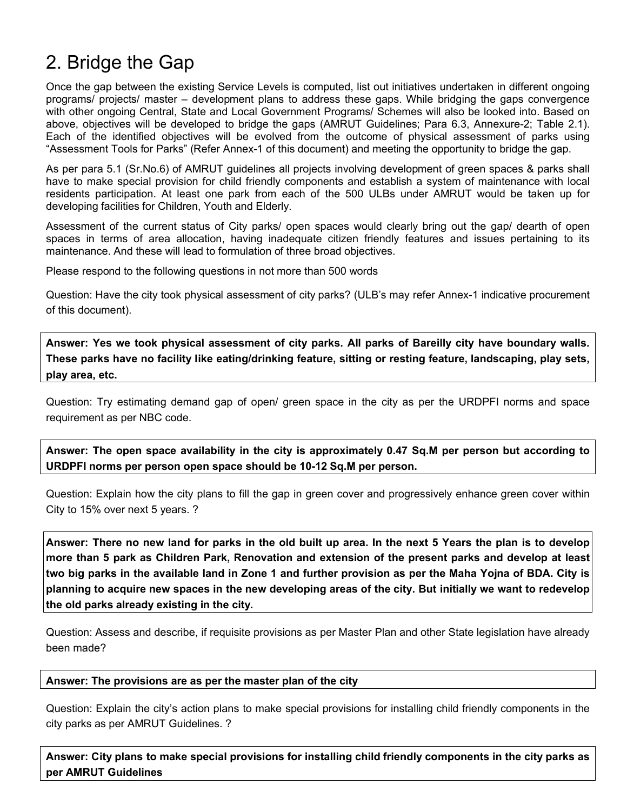## 2. Bridge the Gap

Once the gap between the existing Service Levels is computed, list out initiatives undertaken in different ongoing programs/ projects/ master – development plans to address these gaps. While bridging the gaps convergence with other ongoing Central, State and Local Government Programs/ Schemes will also be looked into. Based on above, objectives will be developed to bridge the gaps (AMRUT Guidelines; Para 6.3, Annexure-2; Table 2.1). Each of the identified objectives will be evolved from the outcome of physical assessment of parks using "Assessment Tools for Parks" (Refer Annex-1 of this document) and meeting the opportunity to bridge the gap.

As per para 5.1 (Sr.No.6) of AMRUT guidelines all projects involving development of green spaces & parks shall have to make special provision for child friendly components and establish a system of maintenance with local residents participation. At least one park from each of the 500 ULBs under AMRUT would be taken up for developing facilities for Children, Youth and Elderly.

Assessment of the current status of City parks/ open spaces would clearly bring out the gap/ dearth of open spaces in terms of area allocation, having inadequate citizen friendly features and issues pertaining to its maintenance. And these will lead to formulation of three broad objectives.

Please respond to the following questions in not more than 500 words

Question: Have the city took physical assessment of city parks? (ULB's may refer Annex-1 indicative procurement of this document).

**Answer: Yes we took physical assessment of city parks. All parks of Bareilly city have boundary walls. These parks have no facility like eating/drinking feature, sitting or resting feature, landscaping, play sets, play area, etc.**

Question: Try estimating demand gap of open/ green space in the city as per the URDPFI norms and space requirement as per NBC code.

**Answer: The open space availability in the city is approximately 0.47 Sq.M per person but according to URDPFI norms per person open space should be 10-12 Sq.M per person.**

Question: Explain how the city plans to fill the gap in green cover and progressively enhance green cover within City to 15% over next 5 years. ?

**Answer: There no new land for parks in the old built up area. In the next 5 Years the plan is to develop more than 5 park as Children Park, Renovation and extension of the present parks and develop at least two big parks in the available land in Zone 1 and further provision as per the Maha Yojna of BDA. City is planning to acquire new spaces in the new developing areas of the city. But initially we want to redevelop the old parks already existing in the city.**

Question: Assess and describe, if requisite provisions as per Master Plan and other State legislation have already been made?

#### **Answer: The provisions are as per the master plan of the city**

Question: Explain the city's action plans to make special provisions for installing child friendly components in the city parks as per AMRUT Guidelines. ?

**Answer: City plans to make special provisions for installing child friendly components in the city parks as per AMRUT Guidelines**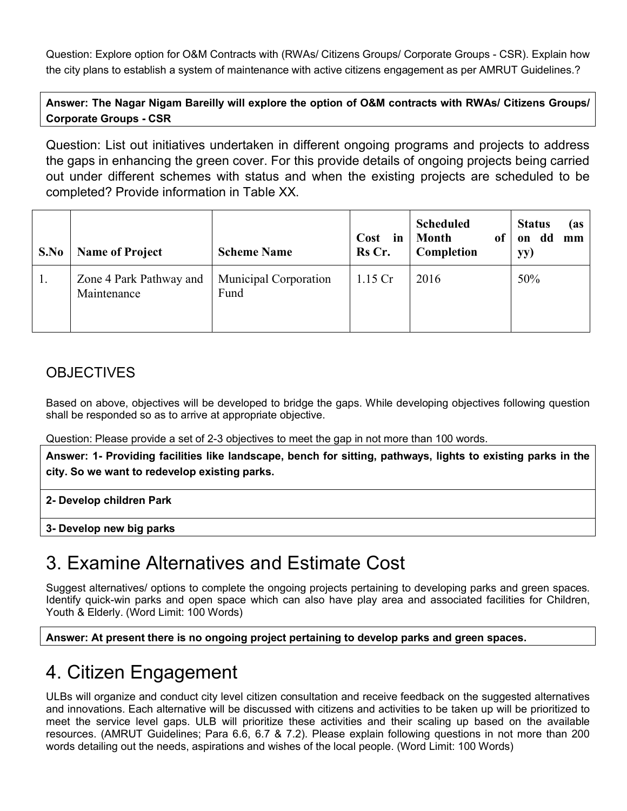Question: Explore option for O&M Contracts with (RWAs/ Citizens Groups/ Corporate Groups - CSR). Explain how the city plans to establish a system of maintenance with active citizens engagement as per AMRUT Guidelines.?

**Answer: The Nagar Nigam Bareilly will explore the option of O&M contracts with RWAs/ Citizens Groups/ Corporate Groups - CSR**

Question: List out initiatives undertaken in different ongoing programs and projects to address the gaps in enhancing the green cover. For this provide details of ongoing projects being carried out under different schemes with status and when the existing projects are scheduled to be completed? Provide information in Table XX.

| S.No | <b>Name of Project</b>                 | <b>Scheme Name</b>            | Cost<br>in<br>Rs Cr. | <b>Scheduled</b><br><b>Month</b><br>of<br>Completion | <b>Status</b><br>(as<br>dd<br>on<br>mm<br>yy) |
|------|----------------------------------------|-------------------------------|----------------------|------------------------------------------------------|-----------------------------------------------|
| 1.   | Zone 4 Park Pathway and<br>Maintenance | Municipal Corporation<br>Fund | $1.15$ Cr            | 2016                                                 | 50%                                           |

### **OBJECTIVES**

Based on above, objectives will be developed to bridge the gaps. While developing objectives following question shall be responded so as to arrive at appropriate objective.

Question: Please provide a set of 2-3 objectives to meet the gap in not more than 100 words.

**Answer: 1- Providing facilities like landscape, bench for sitting, pathways, lights to existing parks in the city. So we want to redevelop existing parks.**

**2- Develop children Park**

**3- Develop new big parks**

# 3. Examine Alternatives and Estimate Cost

Suggest alternatives/ options to complete the ongoing projects pertaining to developing parks and green spaces. Identify quick-win parks and open space which can also have play area and associated facilities for Children, Youth & Elderly. (Word Limit: 100 Words)

**Answer: At present there is no ongoing project pertaining to develop parks and green spaces.**

# 4. Citizen Engagement

ULBs will organize and conduct city level citizen consultation and receive feedback on the suggested alternatives and innovations. Each alternative will be discussed with citizens and activities to be taken up will be prioritized to meet the service level gaps. ULB will prioritize these activities and their scaling up based on the available resources. (AMRUT Guidelines; Para 6.6, 6.7 & 7.2). Please explain following questions in not more than 200 words detailing out the needs, aspirations and wishes of the local people. (Word Limit: 100 Words)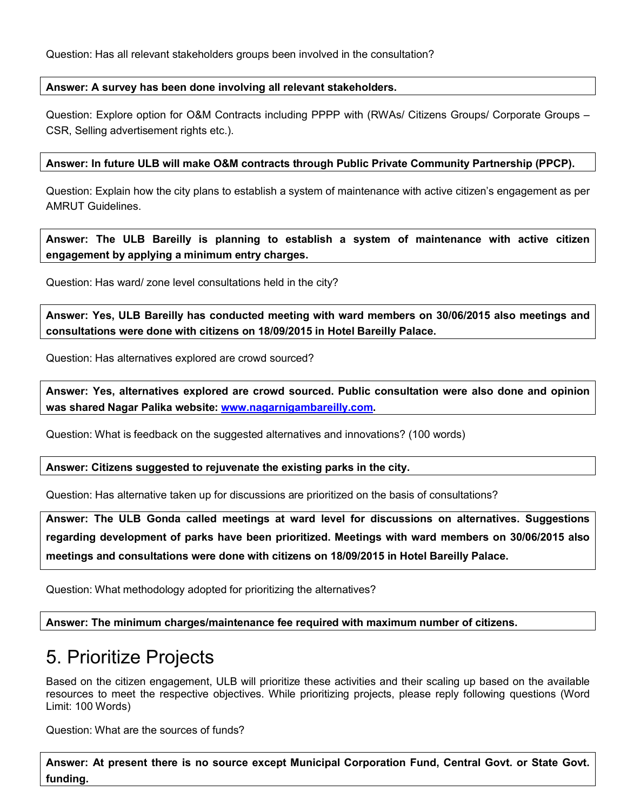#### **Answer: A survey has been done involving all relevant stakeholders.**

Question: Explore option for O&M Contracts including PPPP with (RWAs/ Citizens Groups/ Corporate Groups – CSR, Selling advertisement rights etc.).

#### **Answer: In future ULB will make O&M contracts through Public Private Community Partnership (PPCP).**

Question: Explain how the city plans to establish a system of maintenance with active citizen's engagement as per AMRUT Guidelines.

**Answer: The ULB Bareilly is planning to establish a system of maintenance with active citizen engagement by applying a minimum entry charges.**

Question: Has ward/ zone level consultations held in the city?

**Answer: Yes, ULB Bareilly has conducted meeting with ward members on 30/06/2015 also meetings and consultations were done with citizens on 18/09/2015 in Hotel Bareilly Palace.**

Question: Has alternatives explored are crowd sourced?

**Answer: Yes, alternatives explored are crowd sourced. Public consultation were also done and opinion was shared Nagar Palika website: www.nagarnigambareilly.com.**

Question: What is feedback on the suggested alternatives and innovations? (100 words)

**Answer: Citizens suggested to rejuvenate the existing parks in the city.**

Question: Has alternative taken up for discussions are prioritized on the basis of consultations?

**Answer: The ULB Gonda called meetings at ward level for discussions on alternatives. Suggestions regarding development of parks have been prioritized. Meetings with ward members on 30/06/2015 also meetings and consultations were done with citizens on 18/09/2015 in Hotel Bareilly Palace.** 

Question: What methodology adopted for prioritizing the alternatives?

**Answer: The minimum charges/maintenance fee required with maximum number of citizens.**

### 5. Prioritize Projects

Based on the citizen engagement, ULB will prioritize these activities and their scaling up based on the available resources to meet the respective objectives. While prioritizing projects, please reply following questions (Word Limit: 100 Words)

Question: What are the sources of funds?

**Answer: At present there is no source except Municipal Corporation Fund, Central Govt. or State Govt. funding.**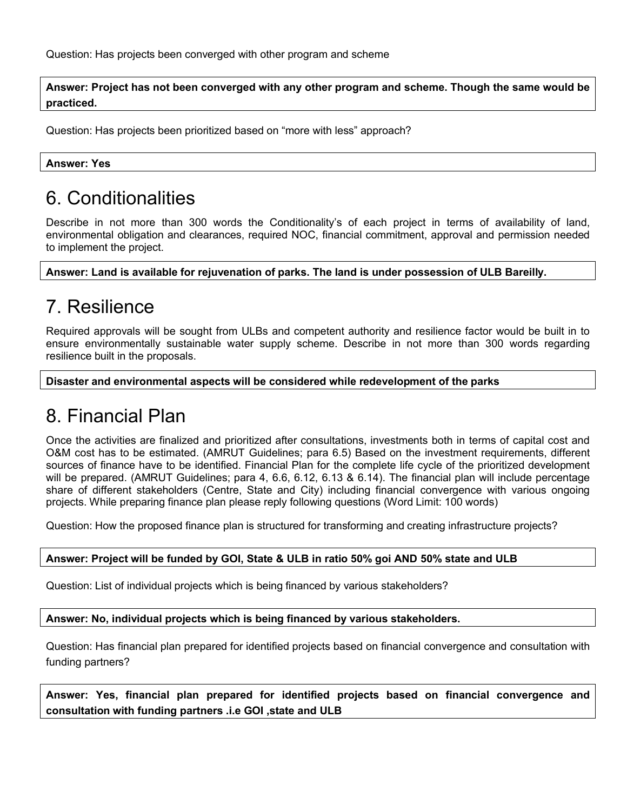Question: Has projects been converged with other program and scheme

**Answer: Project has not been converged with any other program and scheme. Though the same would be practiced.**

Question: Has projects been prioritized based on "more with less" approach?

**Answer: Yes**

## 6. Conditionalities

Describe in not more than 300 words the Conditionality's of each project in terms of availability of land, environmental obligation and clearances, required NOC, financial commitment, approval and permission needed to implement the project.

**Answer: Land is available for rejuvenation of parks. The land is under possession of ULB Bareilly.**

### 7. Resilience

Required approvals will be sought from ULBs and competent authority and resilience factor would be built in to ensure environmentally sustainable water supply scheme. Describe in not more than 300 words regarding resilience built in the proposals.

**Disaster and environmental aspects will be considered while redevelopment of the parks**

### 8. Financial Plan

Once the activities are finalized and prioritized after consultations, investments both in terms of capital cost and O&M cost has to be estimated. (AMRUT Guidelines; para 6.5) Based on the investment requirements, different sources of finance have to be identified. Financial Plan for the complete life cycle of the prioritized development will be prepared. (AMRUT Guidelines; para 4, 6.6, 6.12, 6.13 & 6.14). The financial plan will include percentage share of different stakeholders (Centre, State and City) including financial convergence with various ongoing projects. While preparing finance plan please reply following questions (Word Limit: 100 words)

Question: How the proposed finance plan is structured for transforming and creating infrastructure projects?

### **Answer: Project will be funded by GOI, State & ULB in ratio 50% goi AND 50% state and ULB**

Question: List of individual projects which is being financed by various stakeholders?

**Answer: No, individual projects which is being financed by various stakeholders.**

Question: Has financial plan prepared for identified projects based on financial convergence and consultation with funding partners?

**Answer: Yes, financial plan prepared for identified projects based on financial convergence and consultation with funding partners .i.e GOI ,state and ULB**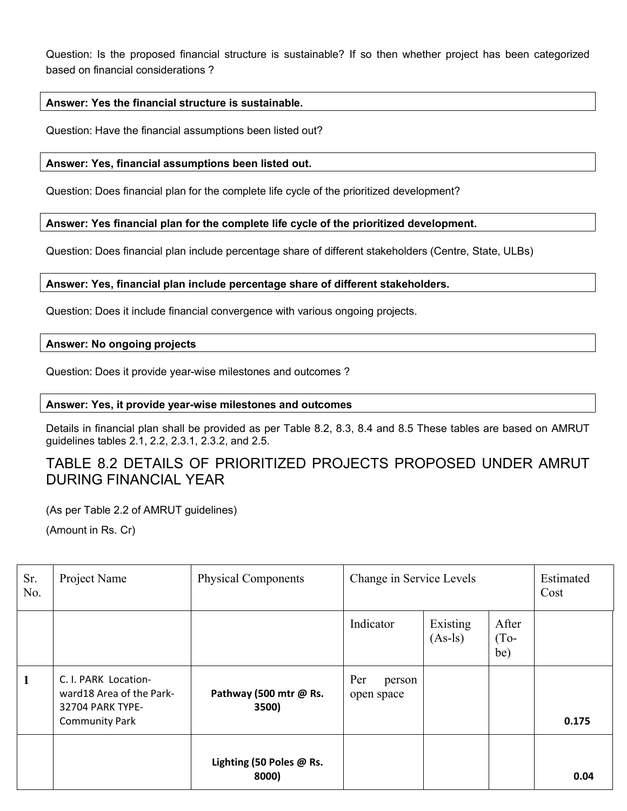Question: Is the proposed financial structure is sustainable? If so then whether project has been categorized based on financial considerations ?

### **Answer: Yes the financial structure is sustainable.**

Question: Have the financial assumptions been listed out?

#### **Answer: Yes, financial assumptions been listed out.**

Question: Does financial plan for the complete life cycle of the prioritized development?

### **Answer: Yes financial plan for the complete life cycle of the prioritized development.**

Question: Does financial plan include percentage share of different stakeholders (Centre, State, ULBs)

### **Answer: Yes, financial plan include percentage share of different stakeholders.**

Question: Does it include financial convergence with various ongoing projects.

#### **Answer: No ongoing projects**

Question: Does it provide year-wise milestones and outcomes ?

#### **Answer: Yes, it provide year-wise milestones and outcomes**

Details in financial plan shall be provided as per Table 8.2, 8.3, 8.4 and 8.5 These tables are based on AMRUT guidelines tables 2.1, 2.2, 2.3.1, 2.3.2, and 2.5.

### TABLE 8.2 DETAILS OF PRIORITIZED PROJECTS PROPOSED UNDER AMRUT DURING FINANCIAL YEAR

(As per Table 2.2 of AMRUT guidelines)

(Amount in Rs. Cr)

| Sr.<br>No.   | Project Name                                                                                  | <b>Physical Components</b>        | Change in Service Levels    |                       | Estimated<br>Cost      |       |
|--------------|-----------------------------------------------------------------------------------------------|-----------------------------------|-----------------------------|-----------------------|------------------------|-------|
|              |                                                                                               |                                   | Indicator                   | Existing<br>$(As-ls)$ | After<br>$(To-$<br>be) |       |
| $\mathbf{1}$ | C. I. PARK Location-<br>ward18 Area of the Park-<br>32704 PARK TYPE-<br><b>Community Park</b> | Pathway (500 mtr @ Rs.<br>3500)   | Per<br>person<br>open space |                       |                        | 0.175 |
|              |                                                                                               | Lighting (50 Poles @ Rs.<br>8000) |                             |                       |                        | 0.04  |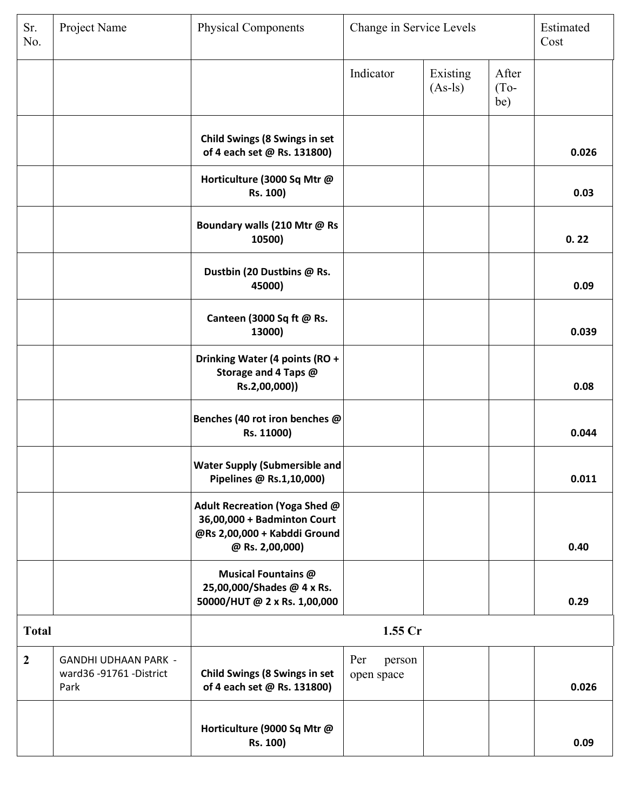| Sr.<br>No.     | Project Name                                                 | <b>Physical Components</b>                                                                                      | Change in Service Levels    |                       |                        | Estimated<br>Cost |
|----------------|--------------------------------------------------------------|-----------------------------------------------------------------------------------------------------------------|-----------------------------|-----------------------|------------------------|-------------------|
|                |                                                              |                                                                                                                 | Indicator                   | Existing<br>$(As-1s)$ | After<br>$(To-$<br>be) |                   |
|                |                                                              | <b>Child Swings (8 Swings in set</b><br>of 4 each set @ Rs. 131800)                                             |                             |                       |                        | 0.026             |
|                |                                                              | Horticulture (3000 Sq Mtr @<br>Rs. 100)                                                                         |                             |                       |                        | 0.03              |
|                |                                                              | Boundary walls (210 Mtr @ Rs<br>10500)                                                                          |                             |                       |                        | 0.22              |
|                |                                                              | Dustbin (20 Dustbins @ Rs.<br>45000)                                                                            |                             |                       |                        | 0.09              |
|                |                                                              | Canteen (3000 Sq ft @ Rs.<br>13000)                                                                             |                             |                       |                        | 0.039             |
|                |                                                              | Drinking Water (4 points (RO +<br>Storage and 4 Taps @<br>Rs.2,00,000))                                         |                             |                       |                        | 0.08              |
|                |                                                              | Benches (40 rot iron benches @<br>Rs. 11000)                                                                    |                             |                       |                        | 0.044             |
|                |                                                              | <b>Water Supply (Submersible and</b><br>Pipelines @ Rs.1,10,000)                                                |                             |                       |                        | 0.011             |
|                |                                                              | Adult Recreation (Yoga Shed @<br>36,00,000 + Badminton Court<br>@Rs 2,00,000 + Kabddi Ground<br>@ Rs. 2,00,000) |                             |                       |                        | 0.40              |
|                |                                                              | <b>Musical Fountains @</b><br>25,00,000/Shades @ 4 x Rs.<br>50000/HUT @ 2 x Rs. 1,00,000                        |                             |                       |                        | 0.29              |
| <b>Total</b>   |                                                              | 1.55 Cr                                                                                                         |                             |                       |                        |                   |
| $\overline{2}$ | <b>GANDHI UDHAAN PARK -</b><br>ward36-91761-District<br>Park | <b>Child Swings (8 Swings in set</b><br>of 4 each set @ Rs. 131800)                                             | Per<br>person<br>open space |                       |                        | 0.026             |
|                |                                                              | Horticulture (9000 Sq Mtr @<br>Rs. 100)                                                                         |                             |                       |                        | 0.09              |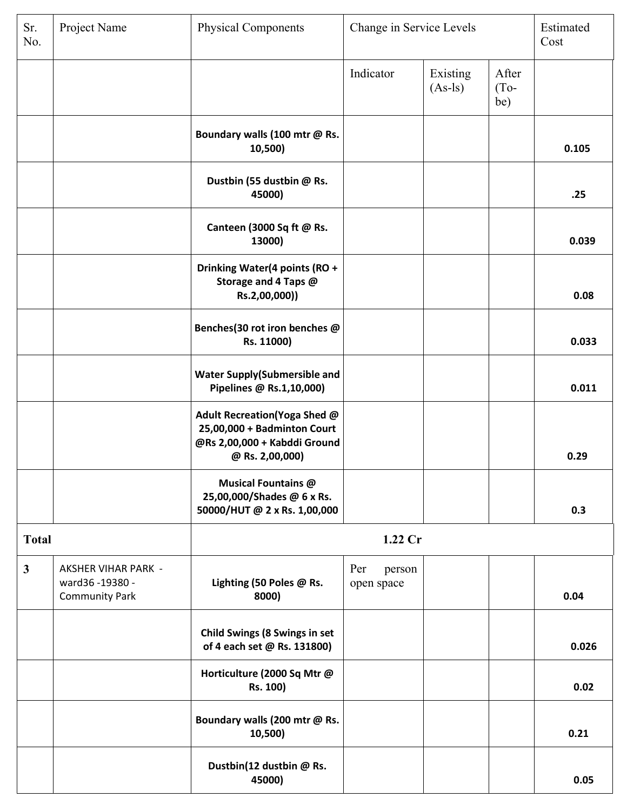| Sr.<br>No.   | Project Name                                                         | <b>Physical Components</b><br>Change in Service Levels                                                         |                             |                       |                        | Estimated<br>Cost |
|--------------|----------------------------------------------------------------------|----------------------------------------------------------------------------------------------------------------|-----------------------------|-----------------------|------------------------|-------------------|
|              |                                                                      |                                                                                                                | Indicator                   | Existing<br>$(As-1s)$ | After<br>$(To-$<br>be) |                   |
|              |                                                                      | Boundary walls (100 mtr @ Rs.<br>10,500)                                                                       |                             |                       |                        | 0.105             |
|              |                                                                      | Dustbin (55 dustbin @ Rs.<br>45000)                                                                            |                             |                       |                        | .25               |
|              |                                                                      | Canteen (3000 Sq ft @ Rs.<br>13000)                                                                            |                             |                       |                        | 0.039             |
|              |                                                                      | Drinking Water(4 points (RO +<br>Storage and 4 Taps @<br>Rs.2,00,000))                                         |                             |                       |                        | 0.08              |
|              |                                                                      | Benches(30 rot iron benches @<br>Rs. 11000)                                                                    |                             |                       |                        | 0.033             |
|              |                                                                      | <b>Water Supply(Submersible and</b><br>Pipelines @ Rs.1,10,000)                                                |                             |                       |                        | 0.011             |
|              |                                                                      | Adult Recreation(Yoga Shed @<br>25,00,000 + Badminton Court<br>@Rs 2,00,000 + Kabddi Ground<br>@ Rs. 2,00,000) |                             |                       |                        | 0.29              |
|              |                                                                      | <b>Musical Fountains @</b><br>25,00,000/Shades @ 6 x Rs.<br>50000/HUT @ 2 x Rs. 1,00,000                       |                             |                       |                        | 0.3               |
| <b>Total</b> |                                                                      |                                                                                                                | $1.22$ Cr                   |                       |                        |                   |
| $\mathbf{3}$ | <b>AKSHER VIHAR PARK -</b><br>ward36-19380-<br><b>Community Park</b> | Lighting (50 Poles @ Rs.<br>8000)                                                                              | Per<br>person<br>open space |                       |                        | 0.04              |
|              |                                                                      | <b>Child Swings (8 Swings in set</b><br>of 4 each set @ Rs. 131800)                                            |                             |                       |                        | 0.026             |
|              |                                                                      | Horticulture (2000 Sq Mtr @<br>Rs. 100)                                                                        |                             |                       |                        | 0.02              |
|              |                                                                      | Boundary walls (200 mtr @ Rs.<br>10,500)                                                                       |                             |                       |                        | 0.21              |
|              |                                                                      | Dustbin(12 dustbin @ Rs.<br>45000)                                                                             |                             |                       |                        | 0.05              |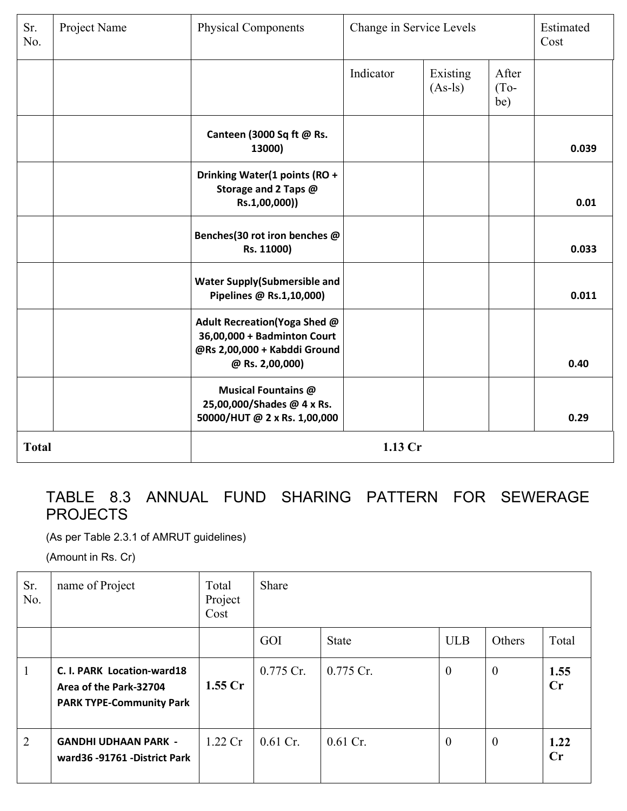| Sr.<br>No.   | Project Name | <b>Physical Components</b>                                                                                     | Change in Service Levels |                       |                        | Estimated<br>Cost |
|--------------|--------------|----------------------------------------------------------------------------------------------------------------|--------------------------|-----------------------|------------------------|-------------------|
|              |              |                                                                                                                | Indicator                | Existing<br>$(As-1s)$ | After<br>$(To-$<br>be) |                   |
|              |              | Canteen (3000 Sq ft @ Rs.<br>13000)                                                                            |                          |                       |                        | 0.039             |
|              |              | Drinking Water(1 points (RO +<br>Storage and 2 Taps @<br>Rs.1,00,000))                                         |                          |                       |                        | 0.01              |
|              |              | Benches(30 rot iron benches @<br>Rs. 11000)                                                                    |                          |                       |                        | 0.033             |
|              |              | <b>Water Supply(Submersible and</b><br>Pipelines @ Rs.1,10,000)                                                |                          |                       |                        | 0.011             |
|              |              | Adult Recreation(Yoga Shed @<br>36,00,000 + Badminton Court<br>@Rs 2,00,000 + Kabddi Ground<br>@ Rs. 2,00,000) |                          |                       |                        | 0.40              |
|              |              | <b>Musical Fountains @</b><br>25,00,000/Shades @ 4 x Rs.<br>50000/HUT @ 2 x Rs. 1,00,000                       |                          |                       |                        | 0.29              |
| <b>Total</b> |              | 1.13 Cr                                                                                                        |                          |                       |                        |                   |

### TABLE 8.3 ANNUAL FUND SHARING PATTERN FOR SEWERAGE PROJECTS

(As per Table 2.3.1 of AMRUT guidelines)

(Amount in Rs. Cr)

| Sr.<br>No.   | name of Project                                                                         | Total<br>Project<br>Cost | Share      |              |                |              |            |
|--------------|-----------------------------------------------------------------------------------------|--------------------------|------------|--------------|----------------|--------------|------------|
|              |                                                                                         |                          | GOI        | <b>State</b> | <b>ULB</b>     | Others       | Total      |
| $\mathbf{1}$ | C. I. PARK Location-ward18<br>Area of the Park-32704<br><b>PARK TYPE-Community Park</b> | 1.55 <sub>cr</sub>       | 0.775 Cr.  | 0.775 Cr.    | $\overline{0}$ | $\mathbf{0}$ | 1.55<br>Cr |
| 2            | <b>GANDHI UDHAAN PARK -</b><br>ward36 -91761 -District Park                             | $1.22 \,$ Cr             | $0.61$ Cr. | $0.61$ Cr.   | $\mathbf{0}$   | $\mathbf{0}$ | 1.22<br>Cr |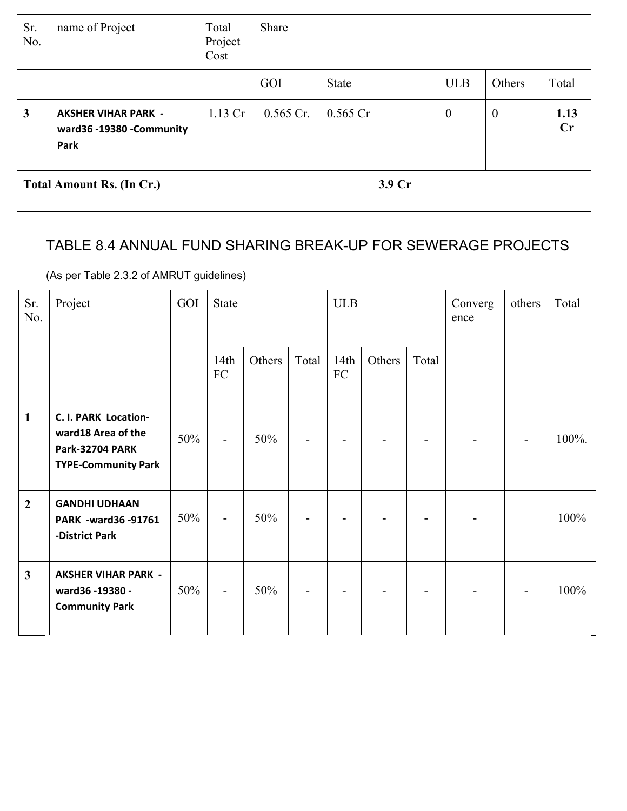| Sr.<br>No.   | name of Project                                                | Total<br>Project<br>Cost | Share       |              |              |                  |            |
|--------------|----------------------------------------------------------------|--------------------------|-------------|--------------|--------------|------------------|------------|
|              |                                                                |                          | GOI         | <b>State</b> | <b>ULB</b>   | Others           | Total      |
| $\mathbf{3}$ | <b>AKSHER VIHAR PARK -</b><br>ward36 -19380 -Community<br>Park | $1.13$ Cr                | $0.565$ Cr. | $0.565$ Cr   | $\mathbf{0}$ | $\boldsymbol{0}$ | 1.13<br>Cr |
|              | <b>Total Amount Rs. (In Cr.)</b>                               | 3.9 Cr                   |             |              |              |                  |            |

### TABLE 8.4 ANNUAL FUND SHARING BREAK-UP FOR SEWERAGE PROJECTS

(As per Table 2.3.2 of AMRUT guidelines)

| Sr.<br>No.     | Project                                                                                            | GOI | <b>State</b>             |        |                | <b>ULB</b>         |        | Converg<br>ence | others | Total          |       |
|----------------|----------------------------------------------------------------------------------------------------|-----|--------------------------|--------|----------------|--------------------|--------|-----------------|--------|----------------|-------|
|                |                                                                                                    |     | 14th<br>${\rm FC}$       | Others | Total          | 14th<br>${\rm FC}$ | Others | Total           |        |                |       |
| $\mathbf{1}$   | C. I. PARK Location-<br>ward18 Area of the<br><b>Park-32704 PARK</b><br><b>TYPE-Community Park</b> | 50% | $\overline{\phantom{a}}$ | 50%    | ۰              |                    |        |                 |        | $\blacksquare$ | 100%. |
| $\overline{2}$ | <b>GANDHI UDHAAN</b><br>PARK -ward36 -91761<br>-District Park                                      | 50% | $\overline{\phantom{a}}$ | 50%    | $\overline{a}$ |                    |        |                 |        |                | 100%  |
| $\mathbf{3}$   | <b>AKSHER VIHAR PARK -</b><br>ward36 -19380 -<br><b>Community Park</b>                             | 50% | $\blacksquare$           | 50%    |                |                    |        |                 |        |                | 100%  |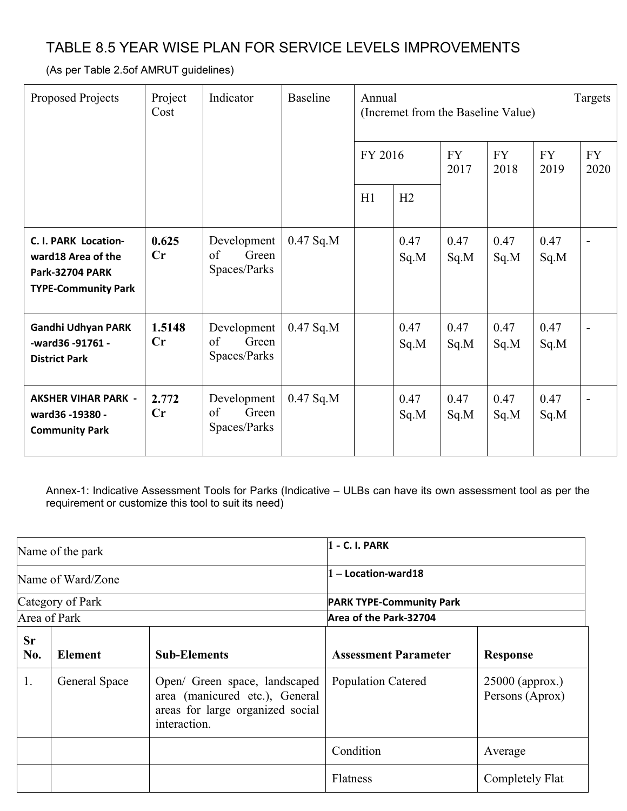### TABLE 8.5 YEAR WISE PLAN FOR SERVICE LEVELS IMPROVEMENTS

(As per Table 2.5of AMRUT guidelines)

| Proposed Projects                                                                                   | Project<br>Cost         | Indicator                                  | <b>Baseline</b> | Annual<br>FY 2016 |              | Targets<br>(Incremet from the Baseline Value) |              |              |  |                   |                   |
|-----------------------------------------------------------------------------------------------------|-------------------------|--------------------------------------------|-----------------|-------------------|--------------|-----------------------------------------------|--------------|--------------|--|-------------------|-------------------|
|                                                                                                     |                         |                                            |                 |                   |              |                                               |              |              |  | <b>FY</b><br>2017 | <b>FY</b><br>2018 |
|                                                                                                     |                         |                                            |                 | H1                | H2           |                                               |              |              |  |                   |                   |
| C. I. PARK Location-<br>ward 18 Area of the<br><b>Park-32704 PARK</b><br><b>TYPE-Community Park</b> | 0.625<br>$\mathbf{C}$ r | Development<br>of<br>Green<br>Spaces/Parks | $0.47$ Sq.M     |                   | 0.47<br>Sq.M | 0.47<br>Sq.M                                  | 0.47<br>Sq.M | 0.47<br>Sq.M |  |                   |                   |
| Gandhi Udhyan PARK<br>-ward36 -91761 -<br><b>District Park</b>                                      | 1.5148<br>Cr            | Development<br>of<br>Green<br>Spaces/Parks | $0.47$ Sq.M     |                   | 0.47<br>Sq.M | 0.47<br>Sq.M                                  | 0.47<br>Sq.M | 0.47<br>Sq.M |  |                   |                   |
| <b>AKSHER VIHAR PARK -</b><br>ward36 -19380 -<br><b>Community Park</b>                              | 2.772<br>Cr             | Development<br>Green<br>of<br>Spaces/Parks | $0.47$ Sq.M     |                   | 0.47<br>Sq.M | 0.47<br>Sq.M                                  | 0.47<br>Sq.M | 0.47<br>Sq.M |  |                   |                   |

Annex-1: Indicative Assessment Tools for Parks (Indicative – ULBs can have its own assessment tool as per the requirement or customize this tool to suit its need)

| Name of the park  |                  |                                                                                                                     | $ 1 - C.$ I. PARK               |                                      |
|-------------------|------------------|---------------------------------------------------------------------------------------------------------------------|---------------------------------|--------------------------------------|
| Name of Ward/Zone |                  |                                                                                                                     | $1 -$ Location-ward18           |                                      |
|                   | Category of Park |                                                                                                                     | <b>PARK TYPE-Community Park</b> |                                      |
| Area of Park      |                  |                                                                                                                     | Area of the Park-32704          |                                      |
| <b>Sr</b><br>No.  | <b>Element</b>   | <b>Sub-Elements</b>                                                                                                 | <b>Assessment Parameter</b>     | <b>Response</b>                      |
| 1.                | General Space    | Open/ Green space, landscaped<br>area (manicured etc.), General<br>areas for large organized social<br>interaction. | <b>Population Catered</b>       | $25000$ (approx.)<br>Persons (Aprox) |
|                   |                  |                                                                                                                     | Condition                       | Average                              |
|                   |                  |                                                                                                                     | Flatness                        | Completely Flat                      |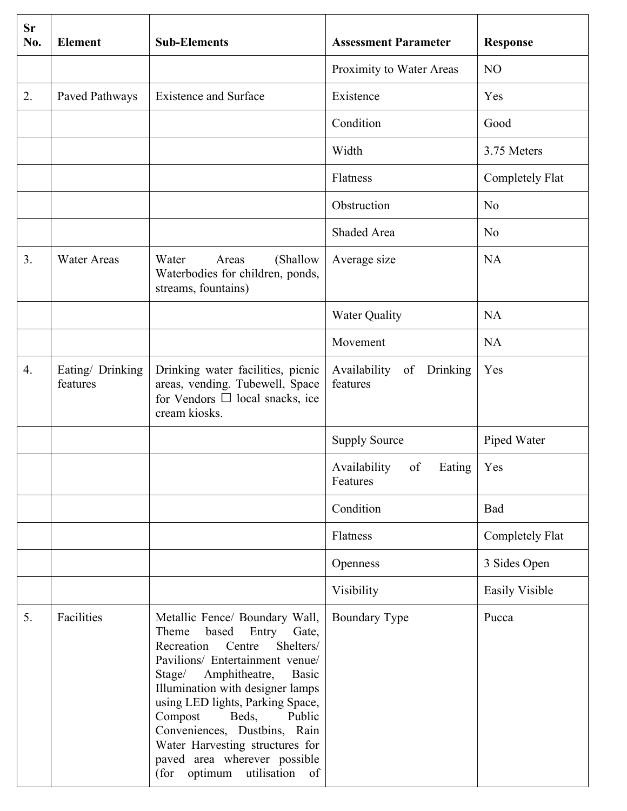| <b>Sr</b><br>No. | <b>Element</b>               | <b>Sub-Elements</b>                                                                                                                                                                                                                                                                                                                                                                                                           | <b>Assessment Parameter</b>              | <b>Response</b>       |
|------------------|------------------------------|-------------------------------------------------------------------------------------------------------------------------------------------------------------------------------------------------------------------------------------------------------------------------------------------------------------------------------------------------------------------------------------------------------------------------------|------------------------------------------|-----------------------|
|                  |                              |                                                                                                                                                                                                                                                                                                                                                                                                                               | Proximity to Water Areas                 | N <sub>O</sub>        |
| 2.               | Paved Pathways               | <b>Existence and Surface</b>                                                                                                                                                                                                                                                                                                                                                                                                  | Existence                                | Yes                   |
|                  |                              |                                                                                                                                                                                                                                                                                                                                                                                                                               | Condition                                | Good                  |
|                  |                              |                                                                                                                                                                                                                                                                                                                                                                                                                               | Width                                    | 3.75 Meters           |
|                  |                              |                                                                                                                                                                                                                                                                                                                                                                                                                               | Flatness                                 | Completely Flat       |
|                  |                              |                                                                                                                                                                                                                                                                                                                                                                                                                               | Obstruction                              | N <sub>0</sub>        |
|                  |                              |                                                                                                                                                                                                                                                                                                                                                                                                                               | Shaded Area                              | N <sub>0</sub>        |
| 3 <sub>1</sub>   | <b>Water Areas</b>           | (Shallow<br>Water<br>Areas<br>Waterbodies for children, ponds,<br>streams, fountains)                                                                                                                                                                                                                                                                                                                                         | Average size                             | <b>NA</b>             |
|                  |                              |                                                                                                                                                                                                                                                                                                                                                                                                                               | <b>Water Quality</b>                     | <b>NA</b>             |
|                  |                              |                                                                                                                                                                                                                                                                                                                                                                                                                               | Movement                                 | <b>NA</b>             |
| 4.               | Eating/ Drinking<br>features | Drinking water facilities, picnic<br>areas, vending. Tubewell, Space<br>for Vendors $\Box$ local snacks, ice<br>cream kiosks.                                                                                                                                                                                                                                                                                                 | of Drinking<br>Availability<br>features  | Yes                   |
|                  |                              |                                                                                                                                                                                                                                                                                                                                                                                                                               | <b>Supply Source</b>                     | Piped Water           |
|                  |                              |                                                                                                                                                                                                                                                                                                                                                                                                                               | Availability<br>of<br>Eating<br>Features | Yes                   |
|                  |                              |                                                                                                                                                                                                                                                                                                                                                                                                                               | Condition                                | Bad                   |
|                  |                              |                                                                                                                                                                                                                                                                                                                                                                                                                               | Flatness                                 | Completely Flat       |
|                  |                              |                                                                                                                                                                                                                                                                                                                                                                                                                               | Openness                                 | 3 Sides Open          |
|                  |                              |                                                                                                                                                                                                                                                                                                                                                                                                                               | Visibility                               | <b>Easily Visible</b> |
| 5.               | Facilities                   | Metallic Fence/ Boundary Wall,<br>Theme<br>based Entry<br>Gate,<br>Recreation<br>Centre<br>Shelters/<br>Pavilions/ Entertainment venue/<br>Amphitheatre,<br>Stage/<br><b>Basic</b><br>Illumination with designer lamps<br>using LED lights, Parking Space,<br>Compost<br>Beds,<br>Public<br>Conveniences, Dustbins, Rain<br>Water Harvesting structures for<br>paved area wherever possible<br>(for optimum<br>utilisation of | Boundary Type                            | Pucca                 |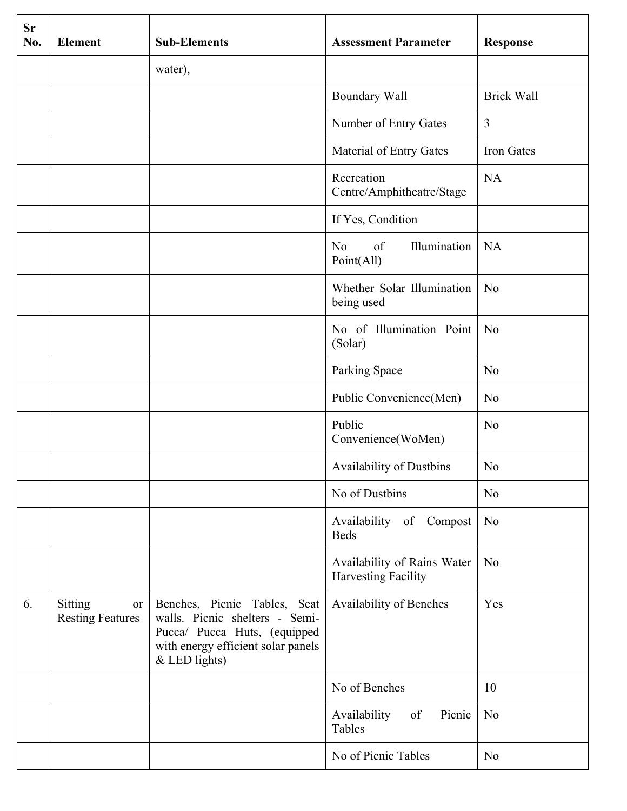| <b>Sr</b><br>No. | <b>Element</b>                           | <b>Sub-Elements</b>                                                                                                                                     | <b>Assessment Parameter</b>                               | <b>Response</b>   |
|------------------|------------------------------------------|---------------------------------------------------------------------------------------------------------------------------------------------------------|-----------------------------------------------------------|-------------------|
|                  |                                          | water),                                                                                                                                                 |                                                           |                   |
|                  |                                          |                                                                                                                                                         | Boundary Wall                                             | <b>Brick Wall</b> |
|                  |                                          |                                                                                                                                                         | Number of Entry Gates                                     | 3                 |
|                  |                                          |                                                                                                                                                         | Material of Entry Gates                                   | Iron Gates        |
|                  |                                          |                                                                                                                                                         | Recreation<br>Centre/Amphitheatre/Stage                   | <b>NA</b>         |
|                  |                                          |                                                                                                                                                         | If Yes, Condition                                         |                   |
|                  |                                          |                                                                                                                                                         | Illumination<br>of<br>N <sub>o</sub><br>Point(All)        | <b>NA</b>         |
|                  |                                          |                                                                                                                                                         | Whether Solar Illumination<br>being used                  | N <sub>o</sub>    |
|                  |                                          |                                                                                                                                                         | No of Illumination Point<br>(Solar)                       | N <sub>o</sub>    |
|                  |                                          |                                                                                                                                                         | Parking Space                                             | N <sub>o</sub>    |
|                  |                                          |                                                                                                                                                         | Public Convenience(Men)                                   | N <sub>0</sub>    |
|                  |                                          |                                                                                                                                                         | Public<br>Convenience(WoMen)                              | N <sub>o</sub>    |
|                  |                                          |                                                                                                                                                         | <b>Availability of Dustbins</b>                           | N <sub>o</sub>    |
|                  |                                          |                                                                                                                                                         | No of Dustbins                                            | N <sub>o</sub>    |
|                  |                                          |                                                                                                                                                         | Availability of Compost<br><b>Beds</b>                    | N <sub>o</sub>    |
|                  |                                          |                                                                                                                                                         | Availability of Rains Water<br><b>Harvesting Facility</b> | N <sub>o</sub>    |
| 6.               | Sitting<br>or<br><b>Resting Features</b> | Benches, Picnic Tables, Seat<br>walls. Picnic shelters - Semi-<br>Pucca/ Pucca Huts, (equipped<br>with energy efficient solar panels<br>$&$ LED lights) | Availability of Benches                                   | Yes               |
|                  |                                          |                                                                                                                                                         | No of Benches                                             | 10                |
|                  |                                          |                                                                                                                                                         | Picnic<br>Availability<br>of<br>Tables                    | N <sub>0</sub>    |
|                  |                                          |                                                                                                                                                         | No of Picnic Tables                                       | N <sub>o</sub>    |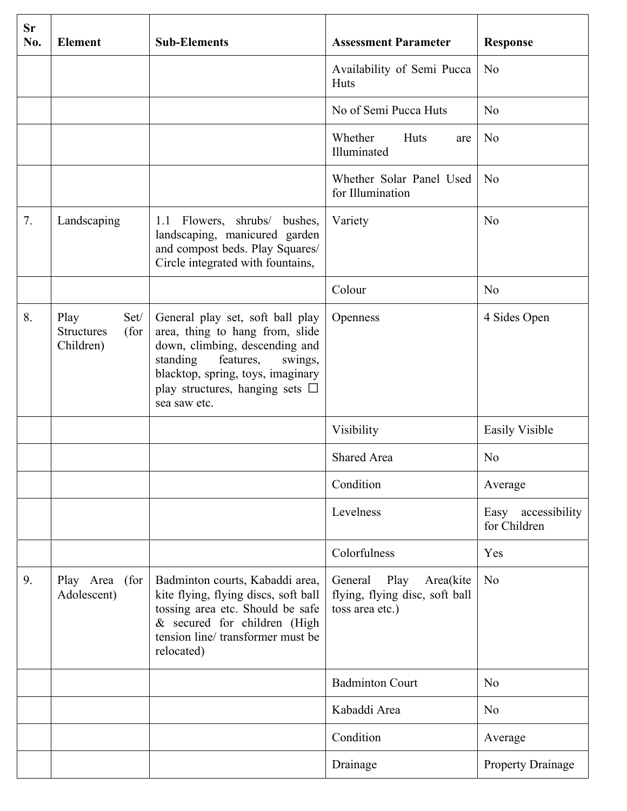| <b>Sr</b><br>No. | <b>Element</b>                                         | <b>Sub-Elements</b>                                                                                                                                                                                                                    | <b>Assessment Parameter</b>                                                    | <b>Response</b>                    |
|------------------|--------------------------------------------------------|----------------------------------------------------------------------------------------------------------------------------------------------------------------------------------------------------------------------------------------|--------------------------------------------------------------------------------|------------------------------------|
|                  |                                                        |                                                                                                                                                                                                                                        | Availability of Semi Pucca<br>Huts                                             | N <sub>0</sub>                     |
|                  |                                                        |                                                                                                                                                                                                                                        | No of Semi Pucca Huts                                                          | N <sub>0</sub>                     |
|                  |                                                        |                                                                                                                                                                                                                                        | Whether<br>Huts<br>are<br>Illuminated                                          | N <sub>0</sub>                     |
|                  |                                                        |                                                                                                                                                                                                                                        | Whether Solar Panel Used<br>for Illumination                                   | No                                 |
| 7.               | Landscaping                                            | 1.1 Flowers, shrubs/ bushes,<br>landscaping, manicured garden<br>and compost beds. Play Squares/<br>Circle integrated with fountains,                                                                                                  | Variety                                                                        | No                                 |
|                  |                                                        |                                                                                                                                                                                                                                        | Colour                                                                         | N <sub>0</sub>                     |
| 8.               | Play<br>Set/<br><b>Structures</b><br>(for<br>Children) | General play set, soft ball play<br>area, thing to hang from, slide<br>down, climbing, descending and<br>standing<br>features,<br>swings,<br>blacktop, spring, toys, imaginary<br>play structures, hanging sets $\Box$<br>sea saw etc. | Openness                                                                       | 4 Sides Open                       |
|                  |                                                        |                                                                                                                                                                                                                                        | Visibility                                                                     | <b>Easily Visible</b>              |
|                  |                                                        |                                                                                                                                                                                                                                        | <b>Shared Area</b>                                                             | N <sub>0</sub>                     |
|                  |                                                        |                                                                                                                                                                                                                                        | Condition                                                                      | Average                            |
|                  |                                                        |                                                                                                                                                                                                                                        | Levelness                                                                      | Easy accessibility<br>for Children |
|                  |                                                        |                                                                                                                                                                                                                                        | Colorfulness                                                                   | Yes                                |
| 9.               | Play Area (for<br>Adolescent)                          | Badminton courts, Kabaddi area,<br>kite flying, flying discs, soft ball<br>tossing area etc. Should be safe<br>& secured for children (High<br>tension line/ transformer must be<br>relocated)                                         | General Play<br>Area(kite<br>flying, flying disc, soft ball<br>toss area etc.) | N <sub>o</sub>                     |
|                  |                                                        |                                                                                                                                                                                                                                        | <b>Badminton Court</b>                                                         | N <sub>0</sub>                     |
|                  |                                                        |                                                                                                                                                                                                                                        | Kabaddi Area                                                                   | N <sub>0</sub>                     |
|                  |                                                        |                                                                                                                                                                                                                                        | Condition                                                                      | Average                            |
|                  |                                                        |                                                                                                                                                                                                                                        | Drainage                                                                       | <b>Property Drainage</b>           |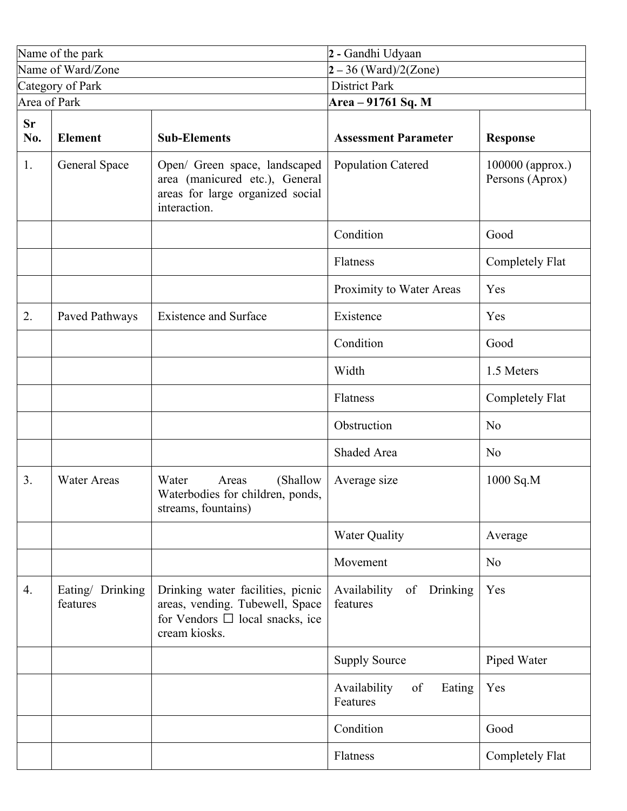|                  | Name of the park             |                                                                                                                               | 2 - Gandhi Udyaan                          |                                     |  |
|------------------|------------------------------|-------------------------------------------------------------------------------------------------------------------------------|--------------------------------------------|-------------------------------------|--|
|                  | Name of Ward/Zone            |                                                                                                                               | $2 - 36$ (Ward)/2(Zone)                    |                                     |  |
|                  | Category of Park             |                                                                                                                               | <b>District Park</b>                       |                                     |  |
| Area of Park     |                              |                                                                                                                               | Area – 91761 Sq. M                         |                                     |  |
| <b>Sr</b><br>No. | <b>Element</b>               | <b>Sub-Elements</b>                                                                                                           | <b>Assessment Parameter</b>                | <b>Response</b>                     |  |
| 1.               | General Space                | Open/ Green space, landscaped<br>area (manicured etc.), General<br>areas for large organized social<br>interaction.           | <b>Population Catered</b>                  | 100000 (approx.)<br>Persons (Aprox) |  |
|                  |                              |                                                                                                                               | Condition                                  | Good                                |  |
|                  |                              |                                                                                                                               | Flatness                                   | Completely Flat                     |  |
|                  |                              |                                                                                                                               | Proximity to Water Areas                   | Yes                                 |  |
| 2.               | Paved Pathways               | <b>Existence and Surface</b>                                                                                                  | Existence                                  | Yes                                 |  |
|                  |                              |                                                                                                                               | Condition                                  | Good                                |  |
|                  |                              |                                                                                                                               | Width                                      | 1.5 Meters                          |  |
|                  |                              |                                                                                                                               | Flatness                                   | Completely Flat                     |  |
|                  |                              |                                                                                                                               | Obstruction                                | N <sub>0</sub>                      |  |
|                  |                              |                                                                                                                               | Shaded Area                                | N <sub>0</sub>                      |  |
| 3 <sub>1</sub>   | <b>Water Areas</b>           | Water<br>(Shallow<br>Areas<br>Waterbodies for children, ponds,<br>streams, fountains)                                         | Average size                               | 1000 Sq.M                           |  |
|                  |                              |                                                                                                                               | <b>Water Quality</b>                       | Average                             |  |
|                  |                              |                                                                                                                               | Movement                                   | N <sub>o</sub>                      |  |
| 4.               | Eating/ Drinking<br>features | Drinking water facilities, picnic<br>areas, vending. Tubewell, Space<br>for Vendors $\Box$ local snacks, ice<br>cream kiosks. | Availability<br>of<br>Drinking<br>features | Yes                                 |  |
|                  |                              |                                                                                                                               | <b>Supply Source</b>                       | Piped Water                         |  |
|                  |                              |                                                                                                                               | Availability<br>of<br>Eating<br>Features   | Yes                                 |  |
|                  |                              |                                                                                                                               | Condition                                  | Good                                |  |
|                  |                              |                                                                                                                               | Flatness                                   | Completely Flat                     |  |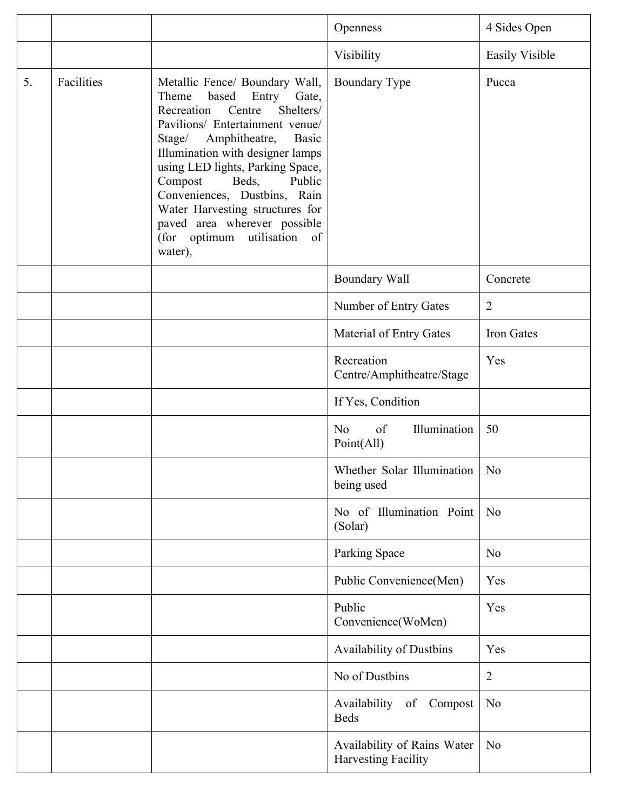|    |            |                                                                                                                                                                                                                                                                                                                                                                                                                                             | Openness                                                  | 4 Sides Open          |
|----|------------|---------------------------------------------------------------------------------------------------------------------------------------------------------------------------------------------------------------------------------------------------------------------------------------------------------------------------------------------------------------------------------------------------------------------------------------------|-----------------------------------------------------------|-----------------------|
|    |            |                                                                                                                                                                                                                                                                                                                                                                                                                                             | Visibility                                                | <b>Easily Visible</b> |
| 5. | Facilities | Metallic Fence/ Boundary Wall,<br>Theme<br>based<br>Entry<br>Gate,<br>Shelters/<br>Recreation<br>Centre<br>Pavilions/ Entertainment venue/<br>Stage/<br>Amphitheatre,<br><b>Basic</b><br>Illumination with designer lamps<br>using LED lights, Parking Space,<br>Compost<br>Beds,<br>Public<br>Conveniences, Dustbins, Rain<br>Water Harvesting structures for<br>paved area wherever possible<br>utilisation of<br>(for optimum<br>water), | <b>Boundary Type</b>                                      | Pucca                 |
|    |            |                                                                                                                                                                                                                                                                                                                                                                                                                                             | <b>Boundary Wall</b>                                      | Concrete              |
|    |            |                                                                                                                                                                                                                                                                                                                                                                                                                                             | Number of Entry Gates                                     | $\overline{2}$        |
|    |            |                                                                                                                                                                                                                                                                                                                                                                                                                                             | Material of Entry Gates                                   | Iron Gates            |
|    |            |                                                                                                                                                                                                                                                                                                                                                                                                                                             | Recreation<br>Centre/Amphitheatre/Stage                   | Yes                   |
|    |            |                                                                                                                                                                                                                                                                                                                                                                                                                                             | If Yes, Condition                                         |                       |
|    |            |                                                                                                                                                                                                                                                                                                                                                                                                                                             | Illumination<br>of<br>N <sub>o</sub><br>Point(All)        | 50                    |
|    |            |                                                                                                                                                                                                                                                                                                                                                                                                                                             | Whether Solar Illumination<br>being used                  | N <sub>0</sub>        |
|    |            |                                                                                                                                                                                                                                                                                                                                                                                                                                             | No of Illumination Point<br>(Solar)                       | No                    |
|    |            |                                                                                                                                                                                                                                                                                                                                                                                                                                             | Parking Space                                             | N <sub>0</sub>        |
|    |            |                                                                                                                                                                                                                                                                                                                                                                                                                                             | Public Convenience(Men)                                   | Yes                   |
|    |            |                                                                                                                                                                                                                                                                                                                                                                                                                                             | Public<br>Convenience(WoMen)                              | Yes                   |
|    |            |                                                                                                                                                                                                                                                                                                                                                                                                                                             | Availability of Dustbins                                  | Yes                   |
|    |            |                                                                                                                                                                                                                                                                                                                                                                                                                                             | No of Dustbins                                            | $\overline{2}$        |
|    |            |                                                                                                                                                                                                                                                                                                                                                                                                                                             | Availability of Compost<br><b>Beds</b>                    | N <sub>o</sub>        |
|    |            |                                                                                                                                                                                                                                                                                                                                                                                                                                             | Availability of Rains Water<br><b>Harvesting Facility</b> | N <sub>o</sub>        |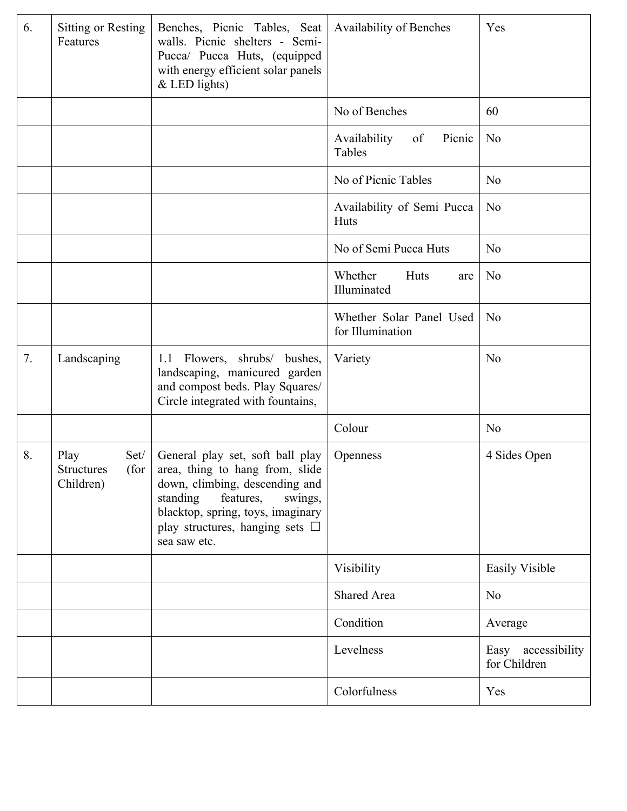| 6. | Sitting or Resting<br>Features                         | Benches, Picnic Tables, Seat<br>walls. Picnic shelters - Semi-<br>Pucca/ Pucca Huts, (equipped<br>with energy efficient solar panels<br>$&$ LED lights)                                                                                | <b>Availability of Benches</b>               | Yes                                |
|----|--------------------------------------------------------|----------------------------------------------------------------------------------------------------------------------------------------------------------------------------------------------------------------------------------------|----------------------------------------------|------------------------------------|
|    |                                                        |                                                                                                                                                                                                                                        | No of Benches                                | 60                                 |
|    |                                                        |                                                                                                                                                                                                                                        | Availability<br>of<br>Picnic<br>Tables       | N <sub>0</sub>                     |
|    |                                                        |                                                                                                                                                                                                                                        | No of Picnic Tables                          | N <sub>0</sub>                     |
|    |                                                        |                                                                                                                                                                                                                                        | Availability of Semi Pucca<br>Huts           | N <sub>o</sub>                     |
|    |                                                        |                                                                                                                                                                                                                                        | No of Semi Pucca Huts                        | N <sub>0</sub>                     |
|    |                                                        |                                                                                                                                                                                                                                        | Whether<br>Huts<br>are<br>Illuminated        | N <sub>0</sub>                     |
|    |                                                        |                                                                                                                                                                                                                                        | Whether Solar Panel Used<br>for Illumination | N <sub>0</sub>                     |
| 7. | Landscaping                                            | 1.1 Flowers, shrubs/ bushes,<br>landscaping, manicured garden<br>and compost beds. Play Squares/<br>Circle integrated with fountains,                                                                                                  | Variety                                      | N <sub>0</sub>                     |
|    |                                                        |                                                                                                                                                                                                                                        | Colour                                       | N <sub>0</sub>                     |
| 8. | Play<br>Set/<br>(for<br><b>Structures</b><br>Children) | General play set, soft ball play<br>area, thing to hang from, slide<br>down, climbing, descending and<br>standing<br>features,<br>swings,<br>blacktop, spring, toys, imaginary<br>play structures, hanging sets $\Box$<br>sea saw etc. | Openness                                     | 4 Sides Open                       |
|    |                                                        |                                                                                                                                                                                                                                        | Visibility                                   | <b>Easily Visible</b>              |
|    |                                                        |                                                                                                                                                                                                                                        | Shared Area                                  | N <sub>o</sub>                     |
|    |                                                        |                                                                                                                                                                                                                                        | Condition                                    | Average                            |
|    |                                                        |                                                                                                                                                                                                                                        | Levelness                                    | Easy accessibility<br>for Children |
|    |                                                        |                                                                                                                                                                                                                                        | Colorfulness                                 | Yes                                |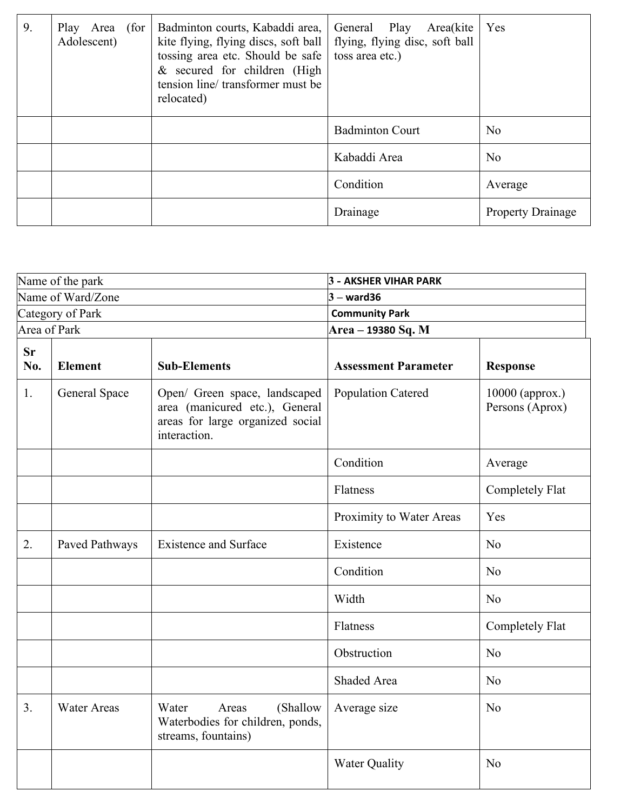| 9. | Play Area (for<br>Adolescent) | Badminton courts, Kabaddi area,<br>kite flying, flying discs, soft ball   flying, flying disc, soft ball<br>tossing area etc. Should be safe<br>$&$ secured for children (High<br>tension line/transformer must be<br>relocated) | General Play Area(kite<br>toss area etc.) | Yes                      |
|----|-------------------------------|----------------------------------------------------------------------------------------------------------------------------------------------------------------------------------------------------------------------------------|-------------------------------------------|--------------------------|
|    |                               |                                                                                                                                                                                                                                  | <b>Badminton Court</b>                    | N <sub>0</sub>           |
|    |                               |                                                                                                                                                                                                                                  | Kabaddi Area                              | N <sub>0</sub>           |
|    |                               |                                                                                                                                                                                                                                  | Condition                                 | Average                  |
|    |                               |                                                                                                                                                                                                                                  | Drainage                                  | <b>Property Drainage</b> |

|                   | Name of the park   |                                                                                                                     | <b>3 - AKSHER VIHAR PARK</b> |                                    |
|-------------------|--------------------|---------------------------------------------------------------------------------------------------------------------|------------------------------|------------------------------------|
| Name of Ward/Zone |                    | $3 -$ ward36                                                                                                        |                              |                                    |
|                   | Category of Park   |                                                                                                                     | <b>Community Park</b>        |                                    |
|                   | Area of Park       |                                                                                                                     | Area - 19380 Sq. M           |                                    |
| <b>Sr</b><br>No.  | <b>Element</b>     | <b>Sub-Elements</b>                                                                                                 | <b>Assessment Parameter</b>  | <b>Response</b>                    |
| 1.                | General Space      | Open/ Green space, landscaped<br>area (manicured etc.), General<br>areas for large organized social<br>interaction. | <b>Population Catered</b>    | 10000 (approx.)<br>Persons (Aprox) |
|                   |                    |                                                                                                                     | Condition                    | Average                            |
|                   |                    |                                                                                                                     | Flatness                     | Completely Flat                    |
|                   |                    |                                                                                                                     | Proximity to Water Areas     | Yes                                |
| 2.                | Paved Pathways     | <b>Existence and Surface</b>                                                                                        | Existence                    | No                                 |
|                   |                    |                                                                                                                     | Condition                    | N <sub>o</sub>                     |
|                   |                    |                                                                                                                     | Width                        | N <sub>o</sub>                     |
|                   |                    |                                                                                                                     | Flatness                     | <b>Completely Flat</b>             |
|                   |                    |                                                                                                                     | Obstruction                  | N <sub>o</sub>                     |
|                   |                    |                                                                                                                     | Shaded Area                  | N <sub>o</sub>                     |
| 3 <sub>1</sub>    | <b>Water Areas</b> | (Shallow<br>Water<br>Areas<br>Waterbodies for children, ponds,<br>streams, fountains)                               | Average size                 | N <sub>o</sub>                     |
|                   |                    |                                                                                                                     | <b>Water Quality</b>         | N <sub>o</sub>                     |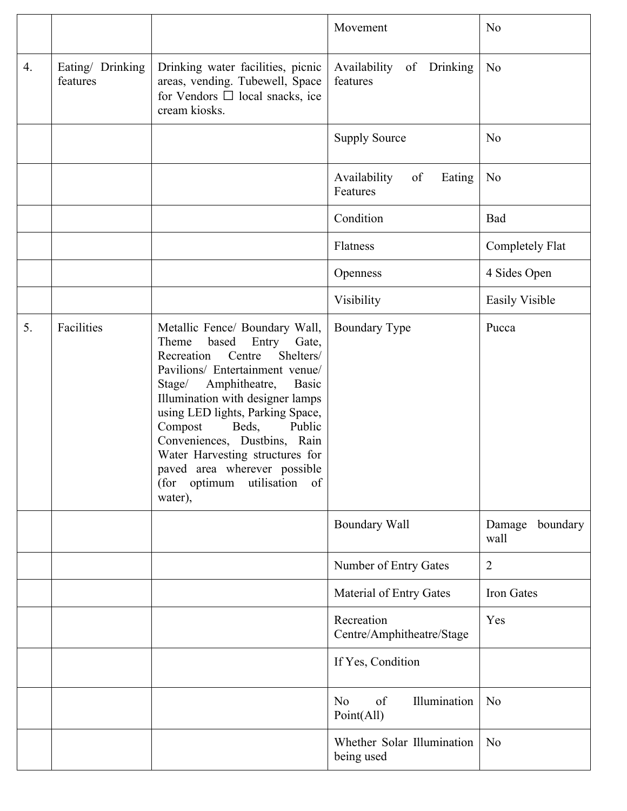|    |                              |                                                                                                                                                                                                                                                                                                                                                                                                                                                | Movement                                           | N <sub>o</sub>             |
|----|------------------------------|------------------------------------------------------------------------------------------------------------------------------------------------------------------------------------------------------------------------------------------------------------------------------------------------------------------------------------------------------------------------------------------------------------------------------------------------|----------------------------------------------------|----------------------------|
| 4. | Eating/ Drinking<br>features | Drinking water facilities, picnic<br>areas, vending. Tubewell, Space<br>for Vendors $\Box$ local snacks, ice<br>cream kiosks.                                                                                                                                                                                                                                                                                                                  | Availability of Drinking<br>features               | N <sub>o</sub>             |
|    |                              |                                                                                                                                                                                                                                                                                                                                                                                                                                                | <b>Supply Source</b>                               | N <sub>0</sub>             |
|    |                              |                                                                                                                                                                                                                                                                                                                                                                                                                                                | Availability<br>of<br>Eating<br>Features           | N <sub>o</sub>             |
|    |                              |                                                                                                                                                                                                                                                                                                                                                                                                                                                | Condition                                          | Bad                        |
|    |                              |                                                                                                                                                                                                                                                                                                                                                                                                                                                | Flatness                                           | Completely Flat            |
|    |                              |                                                                                                                                                                                                                                                                                                                                                                                                                                                | Openness                                           | 4 Sides Open               |
|    |                              |                                                                                                                                                                                                                                                                                                                                                                                                                                                | Visibility                                         | <b>Easily Visible</b>      |
| 5. | Facilities                   | Metallic Fence/ Boundary Wall,<br>Theme<br>based<br>Entry<br>Gate,<br>Recreation<br>Shelters/<br>Centre<br>Pavilions/ Entertainment venue/<br>Amphitheatre,<br>Stage/<br><b>Basic</b><br>Illumination with designer lamps<br>using LED lights, Parking Space,<br>Compost<br>Beds,<br>Public<br>Conveniences, Dustbins, Rain<br>Water Harvesting structures for<br>paved area wherever possible<br>utilisation<br>(for optimum<br>of<br>water), | <b>Boundary Type</b>                               | Pucca                      |
|    |                              |                                                                                                                                                                                                                                                                                                                                                                                                                                                | Boundary Wall                                      | boundary<br>Damage<br>wall |
|    |                              |                                                                                                                                                                                                                                                                                                                                                                                                                                                | Number of Entry Gates                              | $\overline{2}$             |
|    |                              |                                                                                                                                                                                                                                                                                                                                                                                                                                                | Material of Entry Gates                            | Iron Gates                 |
|    |                              |                                                                                                                                                                                                                                                                                                                                                                                                                                                | Recreation<br>Centre/Amphitheatre/Stage            | Yes                        |
|    |                              |                                                                                                                                                                                                                                                                                                                                                                                                                                                | If Yes, Condition                                  |                            |
|    |                              |                                                                                                                                                                                                                                                                                                                                                                                                                                                | Illumination<br>of<br>N <sub>0</sub><br>Point(All) | N <sub>0</sub>             |
|    |                              |                                                                                                                                                                                                                                                                                                                                                                                                                                                | Whether Solar Illumination<br>being used           | N <sub>o</sub>             |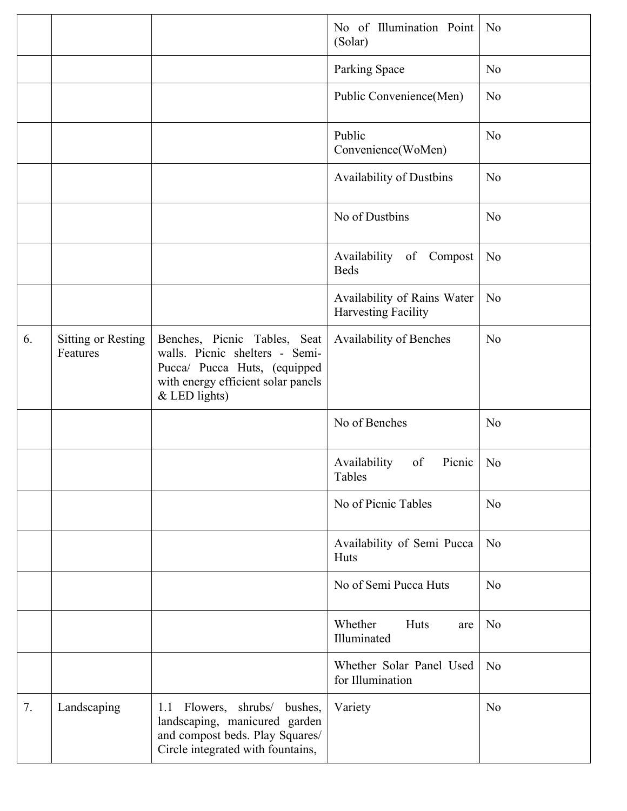|    |                                |                                                                                                                                                         | No of Illumination Point<br>(Solar)                | N <sub>0</sub> |
|----|--------------------------------|---------------------------------------------------------------------------------------------------------------------------------------------------------|----------------------------------------------------|----------------|
|    |                                |                                                                                                                                                         | Parking Space                                      | N <sub>0</sub> |
|    |                                |                                                                                                                                                         | Public Convenience(Men)                            | N <sub>o</sub> |
|    |                                |                                                                                                                                                         | Public<br>Convenience(WoMen)                       | N <sub>o</sub> |
|    |                                |                                                                                                                                                         | <b>Availability of Dustbins</b>                    | N <sub>o</sub> |
|    |                                |                                                                                                                                                         | No of Dustbins                                     | N <sub>o</sub> |
|    |                                |                                                                                                                                                         | Availability of Compost<br><b>Beds</b>             | N <sub>o</sub> |
|    |                                |                                                                                                                                                         | Availability of Rains Water<br>Harvesting Facility | N <sub>o</sub> |
| 6. | Sitting or Resting<br>Features | Benches, Picnic Tables, Seat<br>walls. Picnic shelters - Semi-<br>Pucca/ Pucca Huts, (equipped<br>with energy efficient solar panels<br>$&$ LED lights) | Availability of Benches                            | N <sub>o</sub> |
|    |                                |                                                                                                                                                         | No of Benches                                      | N <sub>0</sub> |
|    |                                |                                                                                                                                                         | Picnic<br>Availability<br>of<br>Tables             | N <sub>o</sub> |
|    |                                |                                                                                                                                                         | No of Picnic Tables                                | N <sub>o</sub> |
|    |                                |                                                                                                                                                         | Availability of Semi Pucca<br>Huts                 | N <sub>o</sub> |
|    |                                |                                                                                                                                                         | No of Semi Pucca Huts                              | N <sub>o</sub> |
|    |                                |                                                                                                                                                         | Whether<br>Huts<br>are<br>Illuminated              | N <sub>o</sub> |
|    |                                |                                                                                                                                                         | Whether Solar Panel Used<br>for Illumination       | N <sub>o</sub> |
| 7. | Landscaping                    | Flowers, shrubs/ bushes,<br>1.1<br>landscaping, manicured garden<br>and compost beds. Play Squares/<br>Circle integrated with fountains,                | Variety                                            | N <sub>o</sub> |